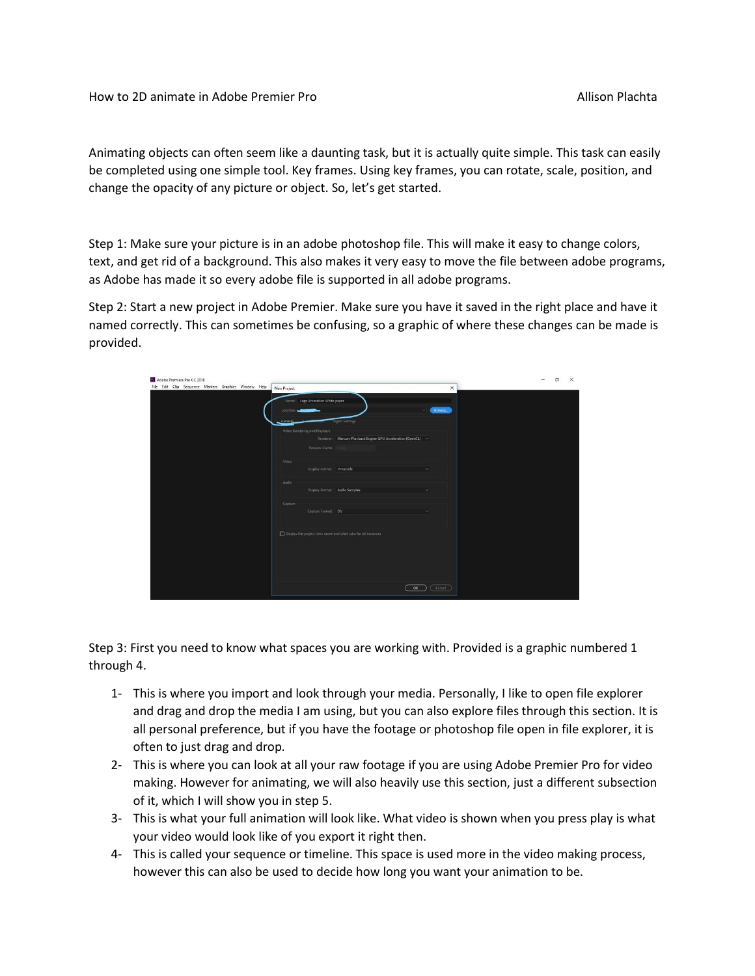Animating objects can often seem like a daunting task, but it is actually quite simple. This task can easily be completed using one simple tool. Key frames. Using key frames, you can rotate, scale, position, and change the opacity of any picture or object. So, let's get started.

Step 1: Make sure your picture is in an adobe photoshop file. This will make it easy to change colors, text, and get rid of a background. This also makes it very easy to move the file between adobe programs, as Adobe has made it so every adobe file is supported in all adobe programs.

Step 2: Start a new project in Adobe Premier. Make sure you have it saved in the right place and have it named correctly. This can sometimes be confusing, so a graphic of where these changes can be made is provided.

| 27 Adobe Premiere Pro CC 2018<br>File Edit Clip Sequence Markers Graphics Window Help | New Project                                                       |                                                     | $\times$ | п | $\times$ |
|---------------------------------------------------------------------------------------|-------------------------------------------------------------------|-----------------------------------------------------|----------|---|----------|
|                                                                                       | Name:   Logo Animation White paper<br>Location<br><u>Lieneral</u> | Ingest Settings                                     | Browse.  |   |          |
|                                                                                       | Video Rendering and Playback                                      |                                                     |          |   |          |
|                                                                                       | Renderer:                                                         | Mercury Playback Engine GPU Acceleration (OpenCL) ~ |          |   |          |
|                                                                                       | Preview Cache:                                                    |                                                     |          |   |          |
|                                                                                       | Video:                                                            |                                                     |          |   |          |
|                                                                                       | Display Format: Timecode                                          |                                                     |          |   |          |
|                                                                                       | Audio:                                                            |                                                     |          |   |          |
|                                                                                       |                                                                   | Display Format: Audio Samples                       |          |   |          |
|                                                                                       | Capture                                                           |                                                     |          |   |          |
|                                                                                       | Capture Format: DV                                                |                                                     |          |   |          |
|                                                                                       |                                                                   |                                                     |          |   |          |
|                                                                                       | Display the project item name and label color for all instances   |                                                     |          |   |          |
|                                                                                       |                                                                   | OK                                                  | Cancel   |   |          |

Step 3: First you need to know what spaces you are working with. Provided is a graphic numbered 1 through 4.

- 1- This is where you import and look through your media. Personally, I like to open file explorer and drag and drop the media I am using, but you can also explore files through this section. It is all personal preference, but if you have the footage or photoshop file open in file explorer, it is often to just drag and drop.
- 2- This is where you can look at all your raw footage if you are using Adobe Premier Pro for video making. However for animating, we will also heavily use this section, just a different subsection of it, which I will show you in step 5.
- 3- This is what your full animation will look like. What video is shown when you press play is what your video would look like of you export it right then.
- 4- This is called your sequence or timeline. This space is used more in the video making process, however this can also be used to decide how long you want your animation to be.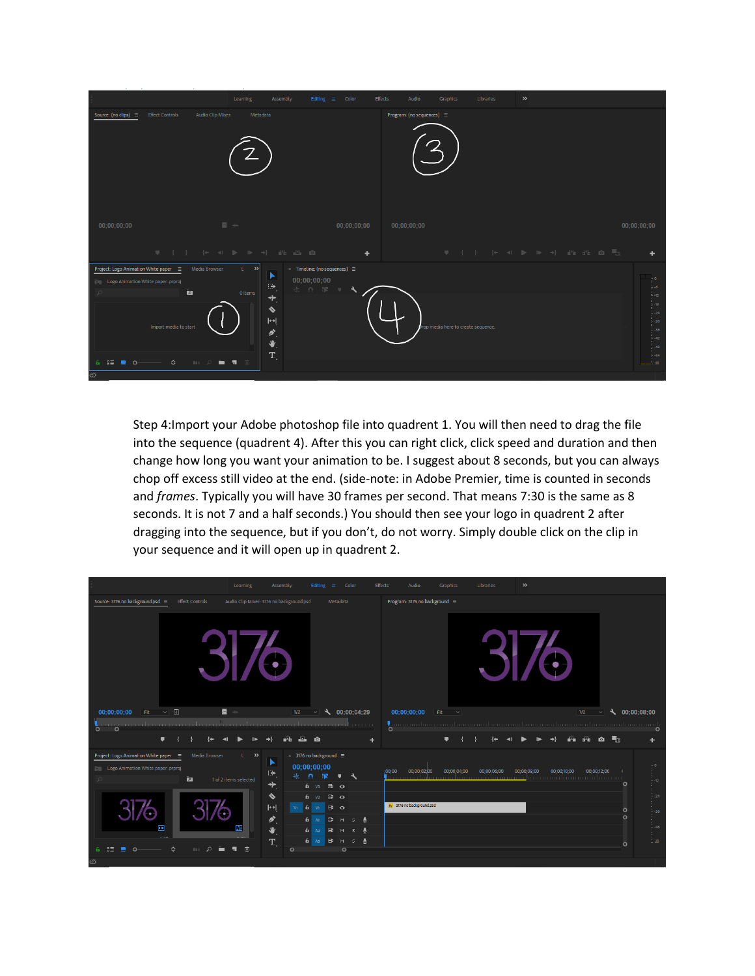|                                                                                                                            | Assembly<br>Editing $\equiv$<br>Learning                                                                                                                                                                                                                                                          | Effects<br>Color                    | Audio<br>Graphics                  | $\gg$<br>Libraries                   |                                          |
|----------------------------------------------------------------------------------------------------------------------------|---------------------------------------------------------------------------------------------------------------------------------------------------------------------------------------------------------------------------------------------------------------------------------------------------|-------------------------------------|------------------------------------|--------------------------------------|------------------------------------------|
| Source: (no clips) $\equiv$                                                                                                | Audio Clip Mixer:<br>Metadata<br><b>Effect Controls</b>                                                                                                                                                                                                                                           |                                     | Program: (no sequences) ≡          |                                      |                                          |
| 00;00;00;00                                                                                                                | 目分<br><b>UIGER AND A PARTICIPAL ASSESSMENT</b>                                                                                                                                                                                                                                                    | 00;00;00;00<br>$\ddot{\phantom{1}}$ | 00:00:00:00                        | <b># { } { * 4 } } * * A A A @ H</b> | 00:00:00:00                              |
| Project: Logo Animation White paper =<br>Logo Animation White paper prproj<br>$\mathcal{L}$<br>$6 \equiv 20$<br>$_{\odot}$ | $\times$ Timeline: (no sequences) $\equiv$<br>Media Browser<br>U.<br>$\rightarrow$<br>▸<br>00;00;00;00<br>$\oplus$<br>※ 0 課 ■<br>jд.<br>0 Items<br>$\ddagger$<br>♦<br>$\blacktriangleright$<br>Import media to start<br>$\delta$ .<br>业<br>ū.<br>$\Diamond$<br>i , 1<br>$\mathbb{H}$ $\mathbb{R}$ | s                                   | rop media here to create sequence. |                                      | $-36$<br>$-42$<br>$-48$<br>- 454<br>. dB |

Step 4:Import your Adobe photoshop file into quadrent 1. You will then need to drag the file into the sequence (quadrent 4). After this you can right click, click speed and duration and then change how long you want your animation to be. I suggest about 8 seconds, but you can always chop off excess still video at the end. (side-note: in Adobe Premier, time is counted in seconds and *frames*. Typically you will have 30 frames per second. That means 7:30 is the same as 8 seconds. It is not 7 and a half seconds.) You should then see your logo in quadrent 2 after dragging into the sequence, but if you don't, do not worry. Simply double click on the clip in your sequence and it will open up in quadrent 2.

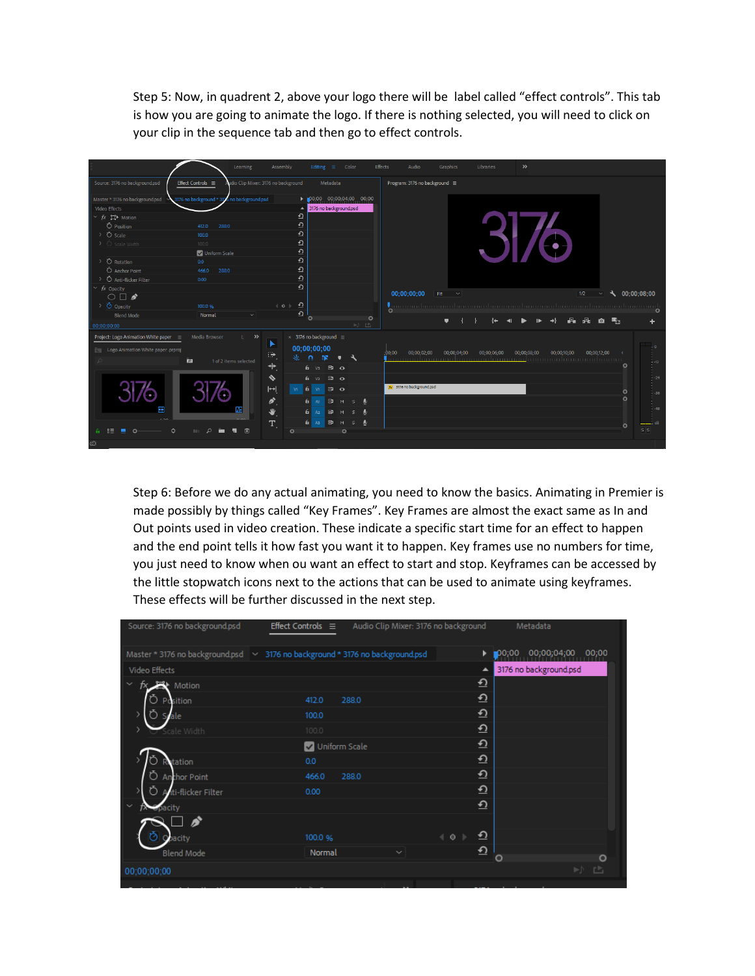Step 5: Now, in quadrent 2, above your logo there will be label called "effect controls". This tab is how you are going to animate the logo. If there is nothing selected, you will need to click on your clip in the sequence tab and then go to effect controls.



Step 6: Before we do any actual animating, you need to know the basics. Animating in Premier is made possibly by things called "Key Frames". Key Frames are almost the exact same as In and Out points used in video creation. These indicate a specific start time for an effect to happen and the end point tells it how fast you want it to happen. Key frames use no numbers for time, you just need to know when ou want an effect to start and stop. Keyframes can be accessed by the little stopwatch icons next to the actions that can be used to animate using keyframes. These effects will be further discussed in the next step.

| Source: 3176 no background.psd                                                | Effect Controls $\equiv$ | Audio Clip Mixer: 3176 no background | Metadata               |
|-------------------------------------------------------------------------------|--------------------------|--------------------------------------|------------------------|
| Master * 3176 no background.psd > 3176 no background * 3176 no background.psd |                          | 00,00                                | 00;00;04;00<br>00;00   |
| Video Effects                                                                 |                          | ▲                                    | 3176 no background.psd |
| Motion                                                                        |                          | $\overline{\mathbf{O}}$              |                        |
| Position                                                                      | 412.0<br>288.0           | $\overline{\Omega}$                  |                        |
| Scale                                                                         | 100.0                    | $\Omega$                             |                        |
| cale Width                                                                    | 100.0                    | $\Omega$                             |                        |
|                                                                               | Uniform Scale            | $\overline{\Omega}$                  |                        |
| tation                                                                        | 0.0                      | $\Omega$                             |                        |
| Anthor Point                                                                  | 466.0<br>288.0           | $\Omega$                             |                        |
| iti-flicker Filter<br>⊃                                                       | 0.00                     | $\Omega$                             |                        |
| $\checkmark$<br><b>X</b> Opacity                                              |                          | $\Omega$                             |                        |
| Ñ                                                                             |                          |                                      |                        |
| Opacity                                                                       | 100.0 %                  | ≏<br>$\triangleleft$ 0               |                        |
| <b>Blend Mode</b>                                                             | Normal                   | ≏<br>$\checkmark$<br>$\circ$         | O                      |
| 00;00;00;00                                                                   |                          |                                      | ÞÞ                     |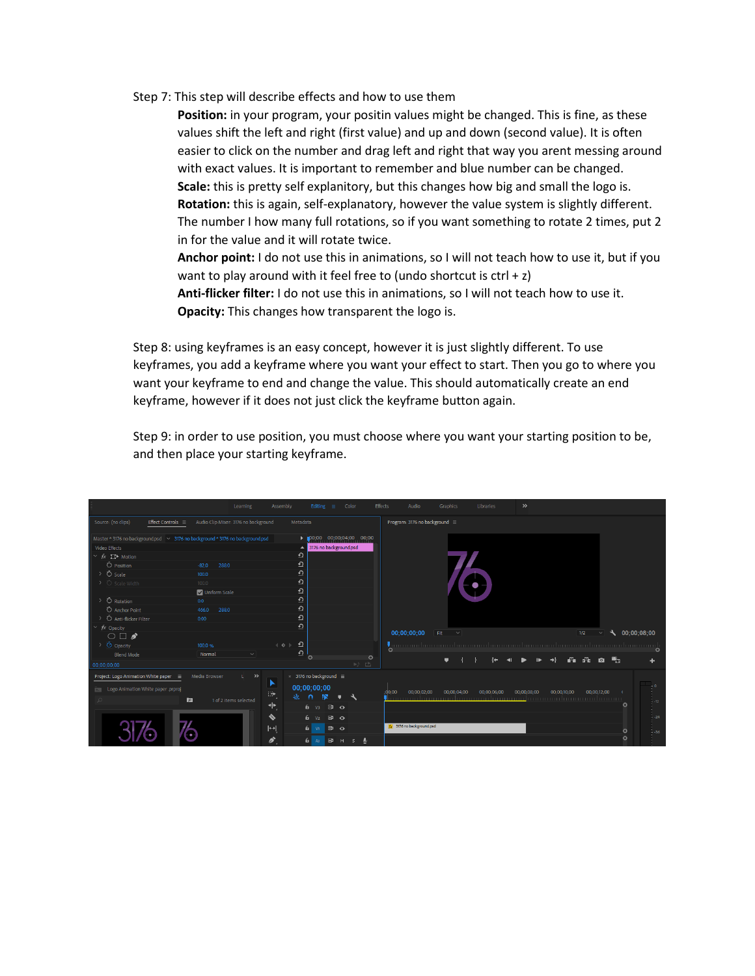Step 7: This step will describe effects and how to use them

**Position:** in your program, your positin values might be changed. This is fine, as these values shift the left and right (first value) and up and down (second value). It is often easier to click on the number and drag left and right that way you arent messing around with exact values. It is important to remember and blue number can be changed. **Scale:** this is pretty self explanitory, but this changes how big and small the logo is. **Rotation:** this is again, self-explanatory, however the value system is slightly different. The number I how many full rotations, so if you want something to rotate 2 times, put 2 in for the value and it will rotate twice.

**Anchor point:** I do not use this in animations, so I will not teach how to use it, but if you want to play around with it feel free to (undo shortcut is  $ctrl + z$ ) **Anti-flicker filter:** I do not use this in animations, so I will not teach how to use it.

**Opacity:** This changes how transparent the logo is.

Step 8: using keyframes is an easy concept, however it is just slightly different. To use keyframes, you add a keyframe where you want your effect to start. Then you go to where you want your keyframe to end and change the value. This should automatically create an end keyframe, however if it does not just click the keyframe button again.

Step 9: in order to use position, you must choose where you want your starting position to be, and then place your starting keyframe.

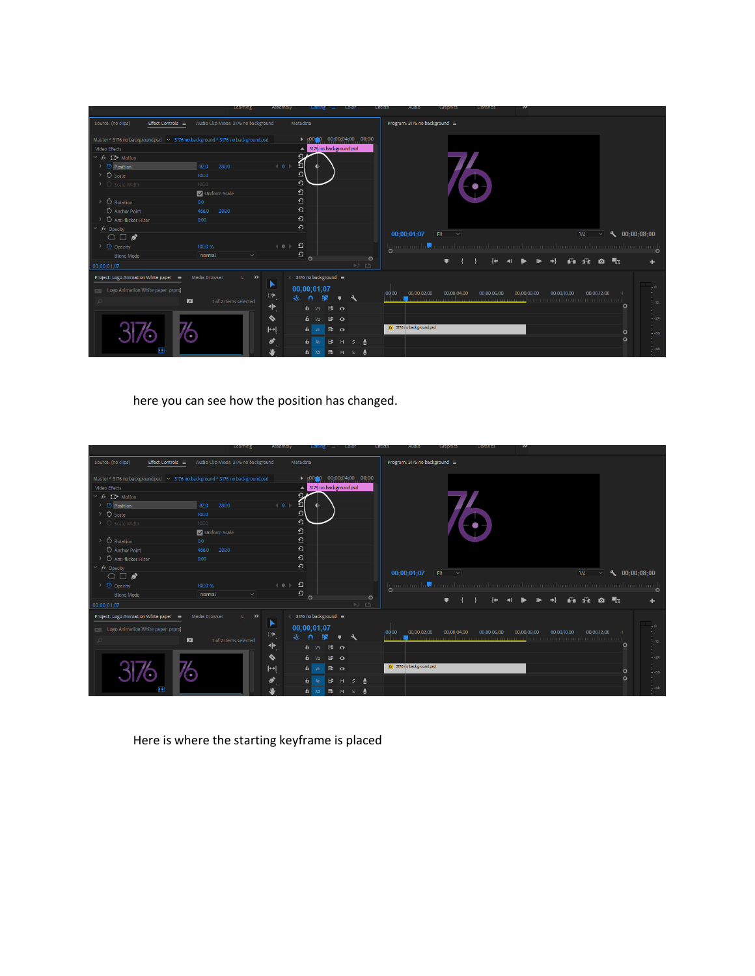|                                                                                      | <b>Learning</b>                      | Assembly<br><b>COIOL</b><br><b>Editing</b><br>÷                   | enects<br>AUGIC<br>Grapnics<br><b>Libraries</b>      | "                                         |
|--------------------------------------------------------------------------------------|--------------------------------------|-------------------------------------------------------------------|------------------------------------------------------|-------------------------------------------|
| Source: (no clips)<br>Effect Controls $\equiv$                                       | Audio Clip Mixer: 3176 no background | Metadata                                                          | Program: 3176 no background ≡                        |                                           |
| Master * 3176 no background.psd   $\vee$ 3176 no background * 3176 no background.psd |                                      | 00;00;04;00 00;00<br>$100 - 0$                                    |                                                      |                                           |
| Video Effects                                                                        |                                      | 3176 no background.psd                                            |                                                      |                                           |
| $\vee$ $f$ <sub>x</sub> $\Box$ Motion                                                |                                      |                                                                   |                                                      |                                           |
| > ⑦ Position                                                                         | $-82.0$<br>288.0                     | <u>。</u><br>$\leftarrow$ 0 $\rightarrow$                          |                                                      |                                           |
| > Ö scale                                                                            | 100.0                                | $\Omega$                                                          |                                                      |                                           |
| $\triangleright$ $\circlearrowright$ Scale Width                                     | 100.0                                | $\Omega$                                                          |                                                      |                                           |
|                                                                                      | Uniform Scale                        | $\mathbf{\underline{\Theta}}$                                     |                                                      |                                           |
| > Ö Rotation                                                                         | 0.0                                  | $\Omega$                                                          |                                                      |                                           |
| <b>Ö</b> Anchor Point                                                                | 466.0<br>288.0                       | $\Omega$                                                          |                                                      |                                           |
| O Anti-flicker Filter                                                                | 0.00                                 | $\Omega$                                                          |                                                      |                                           |
| $\times$ fx Opacity                                                                  |                                      | $\Omega$                                                          |                                                      |                                           |
| $\bigcirc \Box$                                                                      |                                      |                                                                   | 00;00;01;07<br>Fit<br>$\sim$                         | 1/2<br>9.<br>00;00;08;00                  |
| > Ø Opacity                                                                          | 100.0 %                              | ≏<br>$\leftarrow$ 0 $\rightarrow$                                 |                                                      |                                           |
| <b>Blend Mode</b>                                                                    | Normal<br>$\sim$                     | ≏                                                                 | $\Omega$                                             |                                           |
| 00;00;01;07                                                                          |                                      | $\circ$<br>吵些                                                     | $\circ$                                              | ali dike<br>■7<br>$\bullet$               |
| Project: Logo Animation White paper ≡                                                | Media Browser<br>$\rightarrow$       | $\times$ 3176 no background $\equiv$                              |                                                      |                                           |
| <b>Example 20 Logo Animation White paper .prproj</b>                                 |                                      | 00;00;01;07<br>⊕                                                  | 00:00:02:00<br>: 00 00<br>00:00:04:00<br>00:00:06:00 | 00:00:12:00<br>00:00:08:00<br>00:00:10:00 |
|                                                                                      | 囟<br>1 of 2 items selected           | 敲<br>9N<br>n                                                      |                                                      | $-42$                                     |
|                                                                                      |                                      | $\,^+$<br>$6 \text{ v}$ $\Rightarrow$ $\Rightarrow$ $\circ$       |                                                      | $\circ$                                   |
|                                                                                      |                                      | ♦<br>$\mathbf{a}$ $\mathbf{o}$<br>6.<br>V <sub>2</sub>            |                                                      | $-24$                                     |
|                                                                                      |                                      | $\left  \leftrightarrow \right $<br>$\mathbf{a}$<br>6 vi          | Fx 3176 no background.psd                            | $\circ$<br>$-36$                          |
|                                                                                      |                                      | $\mathcal{L}_{\mathcal{L}}$<br>6 <sup>1</sup><br><b>B</b> M<br>A1 |                                                      | $\circ$                                   |
| 画                                                                                    |                                      | ₩<br>6 <sup>1</sup><br><b>B</b> M<br>A2                           |                                                      | $-48$                                     |

here you can see how the position has changed.

| Source: (no clips)<br>Effect Controls $\equiv$                                     | Audio Clip Mixer: 3176 no background | Metadata                                          | Program: 3176 no background ≡                                                                     |                       |
|------------------------------------------------------------------------------------|--------------------------------------|---------------------------------------------------|---------------------------------------------------------------------------------------------------|-----------------------|
| Master * 3176 no background.psd $\sim$ 3176 no background * 3176 no background.psd |                                      | 00;00;04;00 00;00<br>$ 00 ^{20}$                  |                                                                                                   |                       |
| Video Effects                                                                      |                                      | 3176 no background.psd                            |                                                                                                   |                       |
| $\vee$ $f$ <sub>x</sub> $\Box$ Motion                                              |                                      |                                                   |                                                                                                   |                       |
| O Position                                                                         | 288.0<br>$-82.0$                     | <u>。</u><br>$\leftarrow$ 0 $\leftarrow$           |                                                                                                   |                       |
| <b>Ö</b> Scale                                                                     | 100.0                                | $\Omega$                                          |                                                                                                   |                       |
| う Scale Width                                                                      | 100.0                                | $\Omega$                                          |                                                                                                   |                       |
|                                                                                    | Uniform Scale                        | $\Omega$                                          |                                                                                                   |                       |
| <b>Ö</b> Rotation                                                                  | 0.0                                  | $\Omega$                                          |                                                                                                   |                       |
| O Anchor Point                                                                     | 466.0<br>288.0                       | $\Omega$                                          |                                                                                                   |                       |
| O Anti-flicker Filter                                                              | 0.00                                 | $\Omega$                                          |                                                                                                   |                       |
| fx Opacity<br>$\checkmark$                                                         |                                      | $\Omega$                                          |                                                                                                   |                       |
| $\circ$ $\Box$                                                                     |                                      |                                                   | 00;00;01;07<br>1/2<br>Fit<br>$\sim$<br>$\checkmark$                                               | $\lambda$ 00;00;08;00 |
| O opacity                                                                          | 100.0 %                              | $\Omega$<br>$\leftarrow$ 0 $\rightarrow$          | <u>Immundusta maalaanaana laanaana laanaana laanaana laanaana daraanaa h</u><br>$\circ$           |                       |
| <b>Blend Mode</b>                                                                  | Normal<br>$\checkmark$               | $\Omega$<br>$\circ$<br>$\circ$                    | $\rightarrow$                                                                                     |                       |
| 00:00:01:07                                                                        |                                      | D) 凸                                              | 8 8 0 M                                                                                           |                       |
| Project: Logo Animation White paper =                                              | Media Browser<br>$\rightarrow$       | $\times$ 3176 no background $\equiv$              |                                                                                                   |                       |
| Logo Animation White paper .prproj                                                 |                                      | œ<br>00;00;01;07                                  |                                                                                                   | $-0$                  |
|                                                                                    | ÌЯ.<br>1 of 2 items selected         | ⊕,<br>証<br>BХ<br>٩                                | 00;00;04;00<br>00;00;12;00<br>00:00:02:00<br>00;00;06;00<br>00:00:10:00<br>: 00 00<br>00:00:08:00 |                       |
|                                                                                    |                                      | ⇺<br>$6 - v3$<br>B <sub>o</sub>                   |                                                                                                   | $-12$<br>$\circ$      |
|                                                                                    |                                      | ♦<br>$B$ $O$<br>6.<br>V <sub>2</sub>              |                                                                                                   | $-24$                 |
|                                                                                    |                                      |                                                   | fx 3176 no background psd                                                                         |                       |
|                                                                                    |                                      | $\blackleftrightarrow$<br>6 vi<br>$\theta$        |                                                                                                   | $\circ$<br>$-36$      |
|                                                                                    |                                      | $\mathcal{L}_{\mathcal{L}}$<br>$6 - A1$<br>B<br>M |                                                                                                   | $\circ$               |
| m                                                                                  |                                      | ₩<br>$f_{II}$ A2<br><b>B</b> M<br>$\mathsf{s}$    |                                                                                                   | $-48$                 |

Here is where the starting keyframe is placed